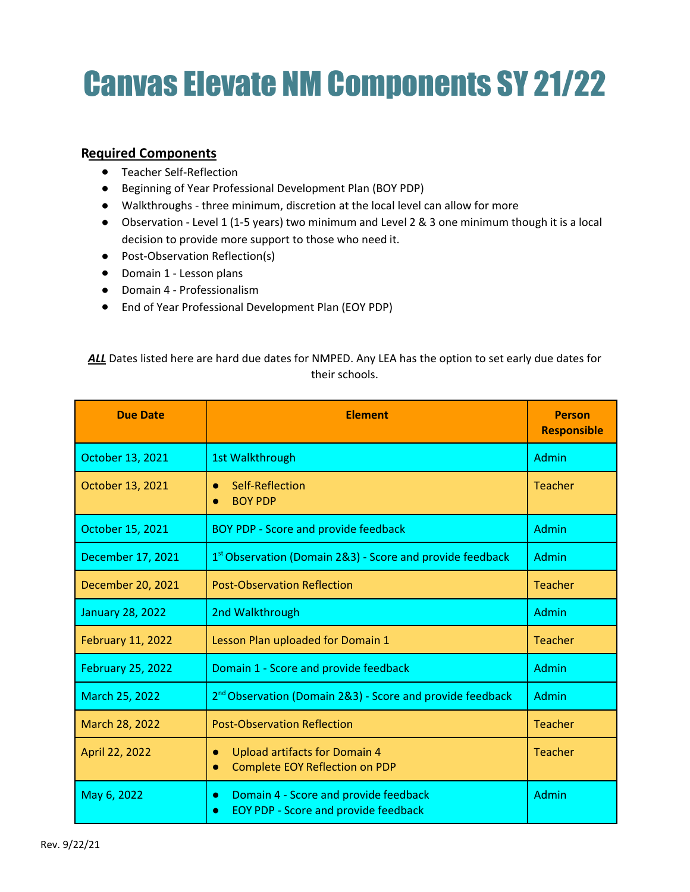## Canvas Elevate NM Components SY 21/22

## **Required Components**

- Teacher Self-Reflection
- Beginning of Year Professional Development Plan (BOY PDP)
- Walkthroughs three minimum, discretion at the local level can allow for more
- Observation Level 1 (1-5 years) two minimum and Level 2 & 3 one minimum though it is a local decision to provide more support to those who need it.
- Post-Observation Reflection(s)
- Domain 1 Lesson plans
- Domain 4 Professionalism
- End of Year Professional Development Plan (EOY PDP)

ALL Dates listed here are hard due dates for NMPED. Any LEA has the option to set early due dates for their schools.

| <b>Due Date</b>          | <b>Element</b>                                                                                                 | <b>Person</b><br><b>Responsible</b> |
|--------------------------|----------------------------------------------------------------------------------------------------------------|-------------------------------------|
| October 13, 2021         | 1st Walkthrough                                                                                                | Admin                               |
| October 13, 2021         | Self-Reflection<br>$\bullet$<br><b>BOY PDP</b>                                                                 | <b>Teacher</b>                      |
| October 15, 2021         | <b>BOY PDP - Score and provide feedback</b>                                                                    | Admin                               |
| December 17, 2021        | $1st$ Observation (Domain 2&3) - Score and provide feedback                                                    | Admin                               |
| December 20, 2021        | <b>Post-Observation Reflection</b>                                                                             | <b>Teacher</b>                      |
| <b>January 28, 2022</b>  | 2nd Walkthrough                                                                                                | Admin                               |
| <b>February 11, 2022</b> | Lesson Plan uploaded for Domain 1                                                                              | Teacher                             |
| <b>February 25, 2022</b> | Domain 1 - Score and provide feedback                                                                          | Admin                               |
| March 25, 2022           | 2 <sup>nd</sup> Observation (Domain 2&3) - Score and provide feedback                                          | Admin                               |
| March 28, 2022           | <b>Post-Observation Reflection</b>                                                                             | <b>Teacher</b>                      |
| April 22, 2022           | <b>Upload artifacts for Domain 4</b><br>$\bullet$<br><b>Complete EOY Reflection on PDP</b><br>$\bullet$        | <b>Teacher</b>                      |
| May 6, 2022              | Domain 4 - Score and provide feedback<br>$\bullet$<br><b>EOY PDP - Score and provide feedback</b><br>$\bullet$ | Admin                               |